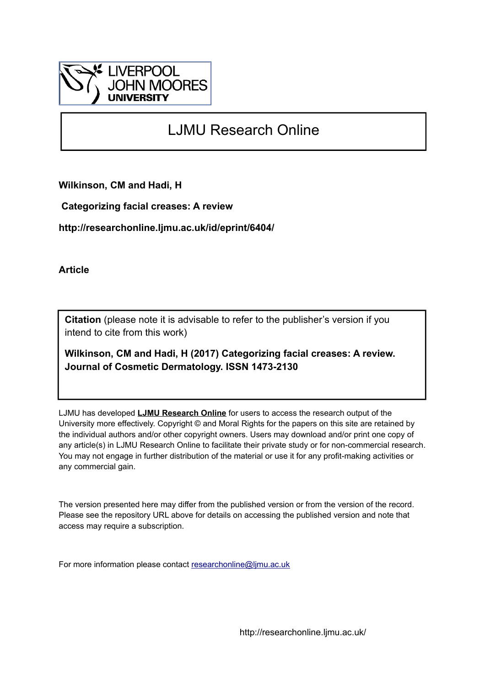

# LJMU Research Online

**Wilkinson, CM and Hadi, H**

 **Categorizing facial creases: A review**

**http://researchonline.ljmu.ac.uk/id/eprint/6404/**

**Article**

**Citation** (please note it is advisable to refer to the publisher's version if you intend to cite from this work)

**Wilkinson, CM and Hadi, H (2017) Categorizing facial creases: A review. Journal of Cosmetic Dermatology. ISSN 1473-2130** 

LJMU has developed **[LJMU Research Online](http://researchonline.ljmu.ac.uk/)** for users to access the research output of the University more effectively. Copyright © and Moral Rights for the papers on this site are retained by the individual authors and/or other copyright owners. Users may download and/or print one copy of any article(s) in LJMU Research Online to facilitate their private study or for non-commercial research. You may not engage in further distribution of the material or use it for any profit-making activities or any commercial gain.

The version presented here may differ from the published version or from the version of the record. Please see the repository URL above for details on accessing the published version and note that access may require a subscription.

For more information please contact [researchonline@ljmu.ac.uk](mailto:researchonline@ljmu.ac.uk)

http://researchonline.ljmu.ac.uk/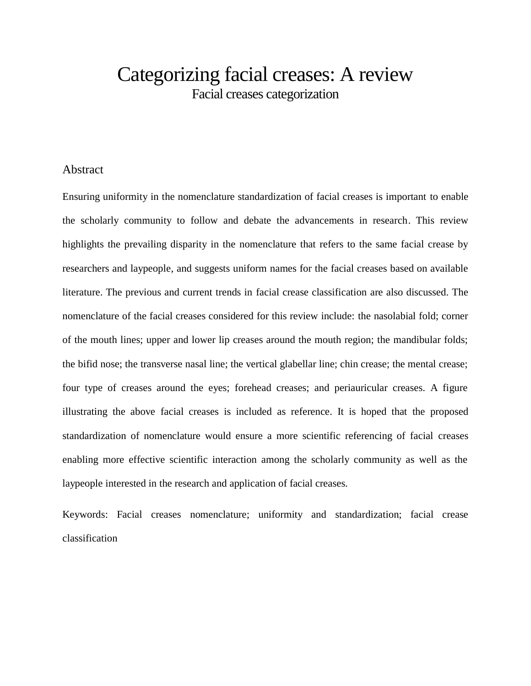# Categorizing facial creases: A review Facial creases categorization

## **Abstract**

Ensuring uniformity in the nomenclature standardization of facial creases is important to enable the scholarly community to follow and debate the advancements in research. This review highlights the prevailing disparity in the nomenclature that refers to the same facial crease by researchers and laypeople, and suggests uniform names for the facial creases based on available literature. The previous and current trends in facial crease classification are also discussed. The nomenclature of the facial creases considered for this review include: the nasolabial fold; corner of the mouth lines; upper and lower lip creases around the mouth region; the mandibular folds; the bifid nose; the transverse nasal line; the vertical glabellar line; chin crease; the mental crease; four type of creases around the eyes; forehead creases; and periauricular creases. A figure illustrating the above facial creases is included as reference. It is hoped that the proposed standardization of nomenclature would ensure a more scientific referencing of facial creases enabling more effective scientific interaction among the scholarly community as well as the laypeople interested in the research and application of facial creases.

Keywords: Facial creases nomenclature; uniformity and standardization; facial crease classification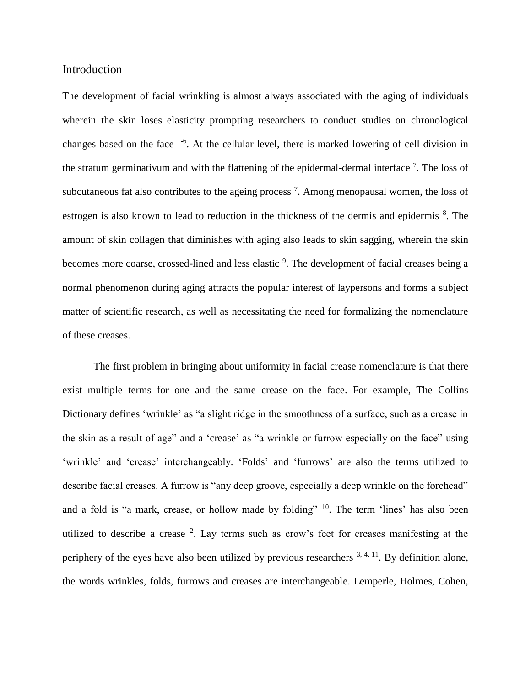## Introduction

The development of facial wrinkling is almost always associated with the aging of individuals wherein the skin loses elasticity prompting researchers to conduct studies on chronological changes based on the face <sup>1-6</sup>. At the cellular level, there is marked lowering of cell division in the stratum germinativum and with the flattening of the epidermal-dermal interface  $\frac{7}{1}$ . The loss of subcutaneous fat also contributes to the ageing process  $^7$ . Among menopausal women, the loss of estrogen is also known to lead to reduction in the thickness of the dermis and epidermis <sup>8</sup>. The amount of skin collagen that diminishes with aging also leads to skin sagging, wherein the skin becomes more coarse, crossed-lined and less elastic <sup>9</sup>. The development of facial creases being a normal phenomenon during aging attracts the popular interest of laypersons and forms a subject matter of scientific research, as well as necessitating the need for formalizing the nomenclature of these creases.

The first problem in bringing about uniformity in facial crease nomenclature is that there exist multiple terms for one and the same crease on the face. For example, The Collins Dictionary defines 'wrinkle' as "a slight ridge in the smoothness of a surface, such as a crease in the skin as a result of age" and a 'crease' as "a wrinkle or furrow especially on the face" using 'wrinkle' and 'crease' interchangeably. 'Folds' and 'furrows' are also the terms utilized to describe facial creases. A furrow is "any deep groove, especially a deep wrinkle on the forehead" and a fold is "a mark, crease, or hollow made by folding" <sup>10</sup>. The term 'lines' has also been utilized to describe a crease  $2$ . Lay terms such as crow's feet for creases manifesting at the periphery of the eyes have also been utilized by previous researchers  $3, 4, 11$ . By definition alone, the words wrinkles, folds, furrows and creases are interchangeable. Lemperle, Holmes, Cohen,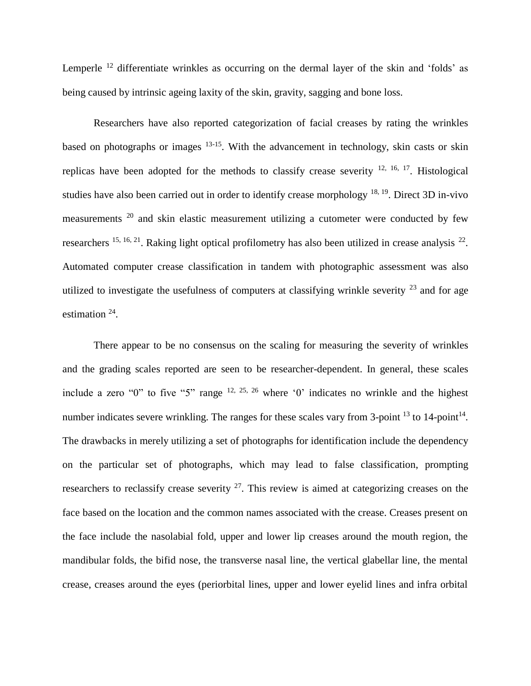Lemperle<sup>12</sup> differentiate wrinkles as occurring on the dermal layer of the skin and 'folds' as being caused by intrinsic ageing laxity of the skin, gravity, sagging and bone loss.

Researchers have also reported categorization of facial creases by rating the wrinkles based on photographs or images <sup>13-15</sup>. With the advancement in technology, skin casts or skin replicas have been adopted for the methods to classify crease severity  $^{12, 16, 17}$ . Histological studies have also been carried out in order to identify crease morphology  $^{18, 19}$ . Direct 3D in-vivo measurements <sup>20</sup> and skin elastic measurement utilizing a cutometer were conducted by few researchers  $^{15, 16, 21}$ . Raking light optical profilometry has also been utilized in crease analysis  $^{22}$ . Automated computer crease classification in tandem with photographic assessment was also utilized to investigate the usefulness of computers at classifying wrinkle severity  $^{23}$  and for age estimation  $24$ .

There appear to be no consensus on the scaling for measuring the severity of wrinkles and the grading scales reported are seen to be researcher-dependent. In general, these scales include a zero "0" to five "5" range  $12, 25, 26$  where '0' indicates no wrinkle and the highest number indicates severe wrinkling. The ranges for these scales vary from 3-point  $^{13}$  to 14-point<sup>14</sup>. The drawbacks in merely utilizing a set of photographs for identification include the dependency on the particular set of photographs, which may lead to false classification, prompting researchers to reclassify crease severity  $2^7$ . This review is aimed at categorizing creases on the face based on the location and the common names associated with the crease. Creases present on the face include the nasolabial fold, upper and lower lip creases around the mouth region, the mandibular folds, the bifid nose, the transverse nasal line, the vertical glabellar line, the mental crease, creases around the eyes (periorbital lines, upper and lower eyelid lines and infra orbital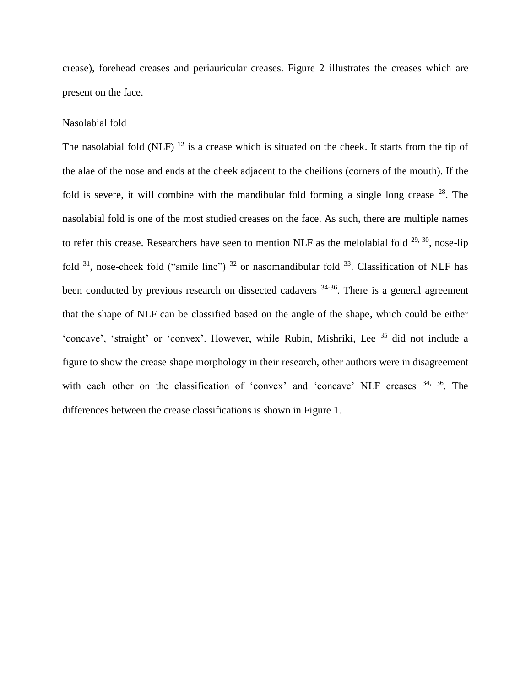crease), forehead creases and periauricular creases. Figure 2 illustrates the creases which are present on the face.

#### Nasolabial fold

The nasolabial fold (NLF)  $^{12}$  is a crease which is situated on the cheek. It starts from the tip of the alae of the nose and ends at the cheek adjacent to the cheilions (corners of the mouth). If the fold is severe, it will combine with the mandibular fold forming a single long crease  $^{28}$ . The nasolabial fold is one of the most studied creases on the face. As such, there are multiple names to refer this crease. Researchers have seen to mention NLF as the melolabial fold  $^{29, 30}$ , nose-lip fold  $31$ , nose-cheek fold ("smile line")  $32$  or nasomandibular fold  $33$ . Classification of NLF has been conducted by previous research on dissected cadavers <sup>34-36</sup>. There is a general agreement that the shape of NLF can be classified based on the angle of the shape, which could be either 'concave', 'straight' or 'convex'. However, while Rubin, Mishriki, Lee <sup>35</sup> did not include a figure to show the crease shape morphology in their research, other authors were in disagreement with each other on the classification of 'convex' and 'concave' NLF creases  $34, 36$ . The differences between the crease classifications is shown in Figure 1.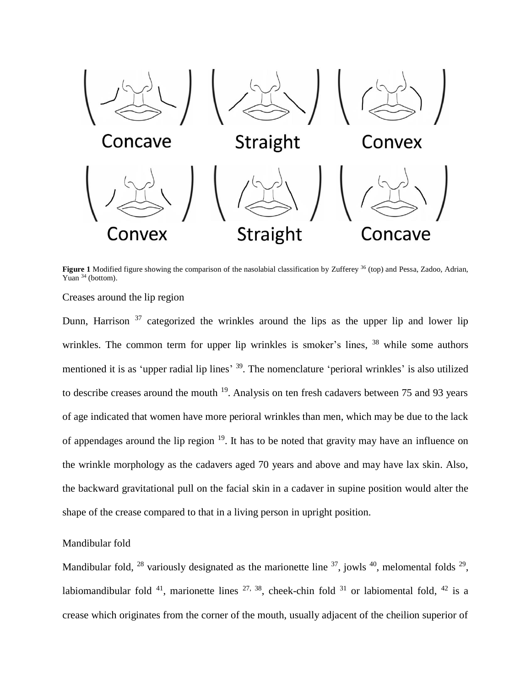

**Figure 1** Modified figure showing the comparison of the nasolabial classification by Zufferey <sup>36</sup> (top) and Pessa, Zadoo, Adrian, Yuan <sup>34</sup> (bottom).

Creases around the lip region

Dunn, Harrison  $37$  categorized the wrinkles around the lips as the upper lip and lower lip wrinkles. The common term for upper lip wrinkles is smoker's lines, <sup>38</sup> while some authors mentioned it is as 'upper radial lip lines' <sup>39</sup>. The nomenclature 'perioral wrinkles' is also utilized to describe creases around the mouth  $19$ . Analysis on ten fresh cadavers between 75 and 93 years of age indicated that women have more perioral wrinkles than men, which may be due to the lack of appendages around the lip region <sup>19</sup>. It has to be noted that gravity may have an influence on the wrinkle morphology as the cadavers aged 70 years and above and may have lax skin. Also, the backward gravitational pull on the facial skin in a cadaver in supine position would alter the shape of the crease compared to that in a living person in upright position.

## Mandibular fold

Mandibular fold,  $^{28}$  variously designated as the marionette line  $^{37}$ , jowls  $^{40}$ , melomental folds  $^{29}$ , labiomandibular fold  $^{41}$ , marionette lines  $^{27, 38}$ , cheek-chin fold  $^{31}$  or labiomental fold,  $^{42}$  is a crease which originates from the corner of the mouth, usually adjacent of the cheilion superior of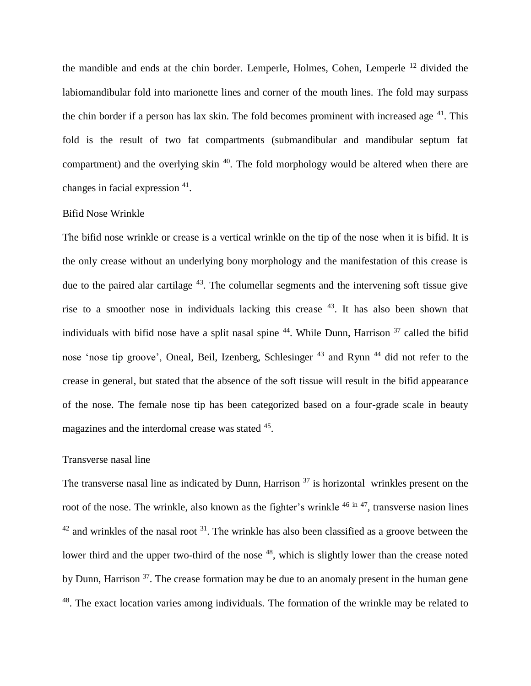the mandible and ends at the chin border. Lemperle, Holmes, Cohen, Lemperle <sup>12</sup> divided the labiomandibular fold into marionette lines and corner of the mouth lines. The fold may surpass the chin border if a person has lax skin. The fold becomes prominent with increased age  $41$ . This fold is the result of two fat compartments (submandibular and mandibular septum fat compartment) and the overlying skin  $40$ . The fold morphology would be altered when there are changes in facial expression <sup>41</sup>.

#### Bifid Nose Wrinkle

The bifid nose wrinkle or crease is a vertical wrinkle on the tip of the nose when it is bifid. It is the only crease without an underlying bony morphology and the manifestation of this crease is due to the paired alar cartilage  $43$ . The columellar segments and the intervening soft tissue give rise to a smoother nose in individuals lacking this crease  $43$ . It has also been shown that individuals with bifid nose have a split nasal spine  $44$ . While Dunn, Harrison  $37$  called the bifid nose 'nose tip groove', Oneal, Beil, Izenberg, Schlesinger<sup>43</sup> and Rynn<sup>44</sup> did not refer to the crease in general, but stated that the absence of the soft tissue will result in the bifid appearance of the nose. The female nose tip has been categorized based on a four-grade scale in beauty magazines and the interdomal crease was stated <sup>45</sup>.

### Transverse nasal line

The transverse nasal line as indicated by Dunn, Harrison  $37$  is horizontal wrinkles present on the root of the nose. The wrinkle, also known as the fighter's wrinkle <sup>46 in 47</sup>, transverse nasion lines  $42$  and wrinkles of the nasal root  $31$ . The wrinkle has also been classified as a groove between the lower third and the upper two-third of the nose <sup>48</sup>, which is slightly lower than the crease noted by Dunn, Harrison  $37$ . The crease formation may be due to an anomaly present in the human gene <sup>48</sup>. The exact location varies among individuals. The formation of the wrinkle may be related to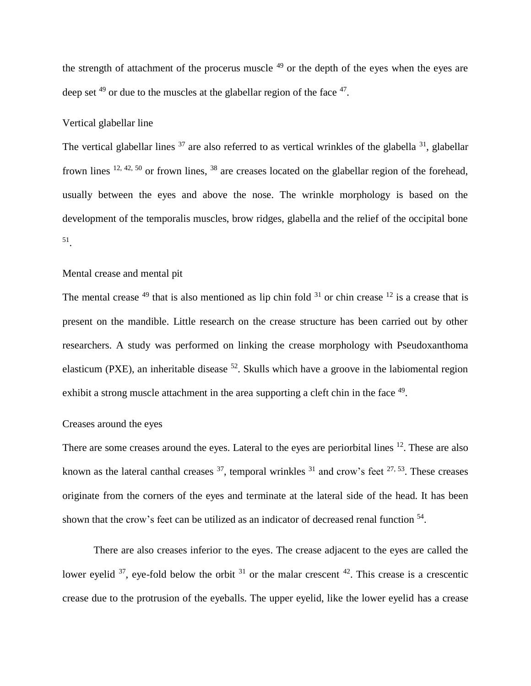the strength of attachment of the procerus muscle  $49$  or the depth of the eyes when the eyes are deep set  $49$  or due to the muscles at the glabellar region of the face  $47$ .

#### Vertical glabellar line

The vertical glabellar lines  $37$  are also referred to as vertical wrinkles of the glabella  $31$ , glabellar frown lines  $12, 42, 50$  or frown lines,  $38$  are creases located on the glabellar region of the forehead, usually between the eyes and above the nose. The wrinkle morphology is based on the development of the temporalis muscles, brow ridges, glabella and the relief of the occipital bone 51 .

## Mental crease and mental pit

The mental crease  $49$  that is also mentioned as lip chin fold  $31$  or chin crease  $12$  is a crease that is present on the mandible. Little research on the crease structure has been carried out by other researchers. A study was performed on linking the crease morphology with Pseudoxanthoma elasticum (PXE), an inheritable disease  $52$ . Skulls which have a groove in the labiomental region exhibit a strong muscle attachment in the area supporting a cleft chin in the face <sup>49</sup>.

## Creases around the eyes

There are some creases around the eyes. Lateral to the eyes are periorbital lines <sup>12</sup>. These are also known as the lateral canthal creases  $37$ , temporal wrinkles  $31$  and crow's feet  $27, 53$ . These creases originate from the corners of the eyes and terminate at the lateral side of the head. It has been shown that the crow's feet can be utilized as an indicator of decreased renal function <sup>54</sup>.

There are also creases inferior to the eyes. The crease adjacent to the eyes are called the lower eyelid  $3^7$ , eye-fold below the orbit  $3^1$  or the malar crescent  $4^2$ . This crease is a crescentic crease due to the protrusion of the eyeballs. The upper eyelid, like the lower eyelid has a crease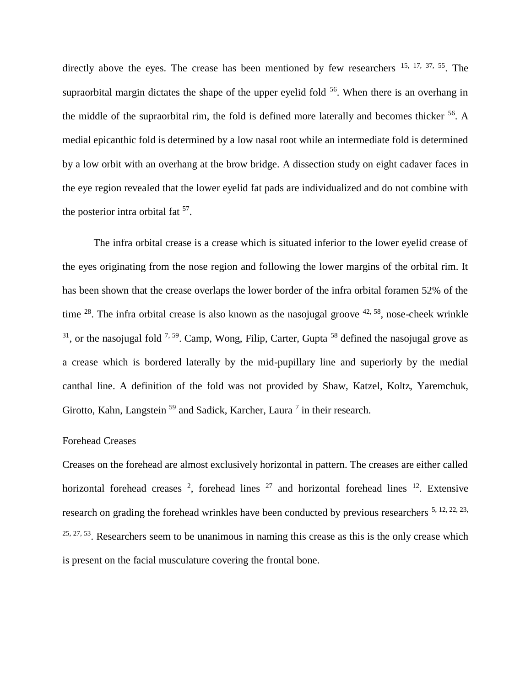directly above the eyes. The crease has been mentioned by few researchers  $15, 17, 37, 55$ . The supraorbital margin dictates the shape of the upper eyelid fold  $56$ . When there is an overhang in the middle of the supraorbital rim, the fold is defined more laterally and becomes thicker <sup>56</sup>. A medial epicanthic fold is determined by a low nasal root while an intermediate fold is determined by a low orbit with an overhang at the brow bridge. A dissection study on eight cadaver faces in the eye region revealed that the lower eyelid fat pads are individualized and do not combine with the posterior intra orbital fat  $57$ .

The infra orbital crease is a crease which is situated inferior to the lower eyelid crease of the eyes originating from the nose region and following the lower margins of the orbital rim. It has been shown that the crease overlaps the lower border of the infra orbital foramen 52% of the time  $^{28}$ . The infra orbital crease is also known as the nasojugal groove  $^{42, 58}$ , nose-cheek wrinkle  $31$ , or the nasojugal fold  $7.59$ . Camp, Wong, Filip, Carter, Gupta  $58$  defined the nasojugal grove as a crease which is bordered laterally by the mid-pupillary line and superiorly by the medial canthal line. A definition of the fold was not provided by Shaw, Katzel, Koltz, Yaremchuk, Girotto, Kahn, Langstein<sup>59</sup> and Sadick, Karcher, Laura<sup>7</sup> in their research.

### Forehead Creases

Creases on the forehead are almost exclusively horizontal in pattern. The creases are either called horizontal forehead creases  $2$ , forehead lines  $27$  and horizontal forehead lines  $12$ . Extensive research on grading the forehead wrinkles have been conducted by previous researchers <sup>5, 12, 22, 23,</sup>  $25, 27, 53$ . Researchers seem to be unanimous in naming this crease as this is the only crease which is present on the facial musculature covering the frontal bone.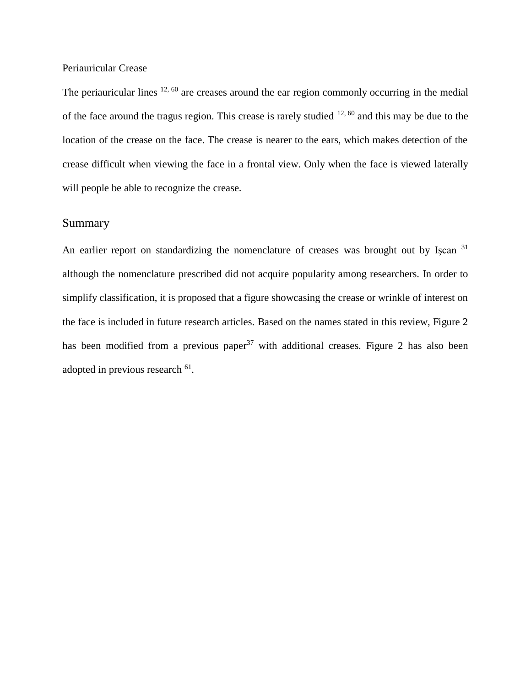### Periauricular Crease

The periauricular lines  $12, 60$  are creases around the ear region commonly occurring in the medial of the face around the tragus region. This crease is rarely studied  $12, 60$  and this may be due to the location of the crease on the face. The crease is nearer to the ears, which makes detection of the crease difficult when viewing the face in a frontal view. Only when the face is viewed laterally will people be able to recognize the crease.

## **Summary**

An earlier report on standardizing the nomenclature of creases was brought out by Iscan <sup>31</sup> although the nomenclature prescribed did not acquire popularity among researchers. In order to simplify classification, it is proposed that a figure showcasing the crease or wrinkle of interest on the face is included in future research articles. Based on the names stated in this review, Figure 2 has been modified from a previous paper<sup>37</sup> with additional creases. Figure 2 has also been adopted in previous research  $^{61}$ .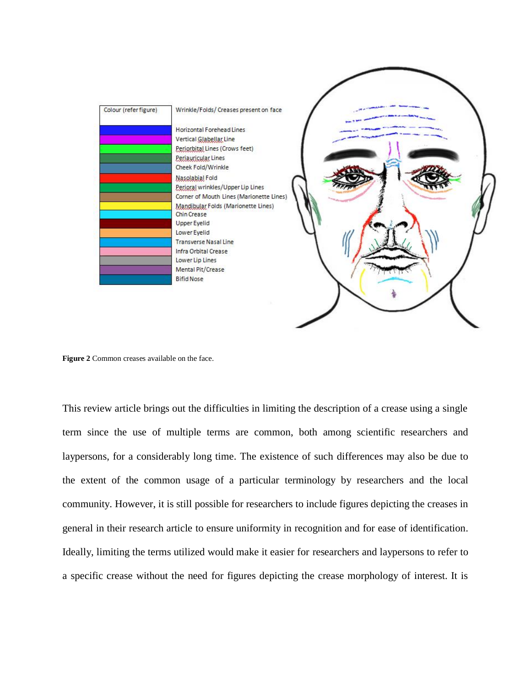

**Figure 2** Common creases available on the face.

This review article brings out the difficulties in limiting the description of a crease using a single term since the use of multiple terms are common, both among scientific researchers and laypersons, for a considerably long time. The existence of such differences may also be due to the extent of the common usage of a particular terminology by researchers and the local community. However, it is still possible for researchers to include figures depicting the creases in general in their research article to ensure uniformity in recognition and for ease of identification. Ideally, limiting the terms utilized would make it easier for researchers and laypersons to refer to a specific crease without the need for figures depicting the crease morphology of interest. It is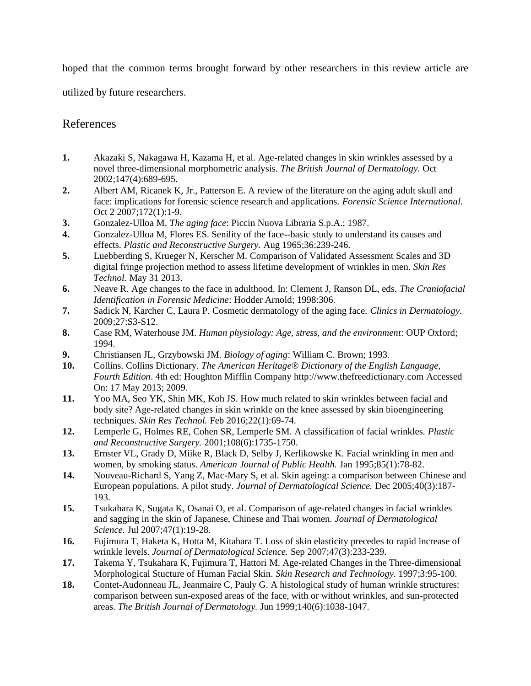hoped that the common terms brought forward by other researchers in this review article are

utilized by future researchers.

## References

- **1.** Akazaki S, Nakagawa H, Kazama H, et al. Age-related changes in skin wrinkles assessed by a novel three-dimensional morphometric analysis. *The British Journal of Dermatology.* Oct 2002;147(4):689-695.
- **2.** Albert AM, Ricanek K, Jr., Patterson E. A review of the literature on the aging adult skull and face: implications for forensic science research and applications. *Forensic Science International.*  Oct 2 2007;172(1):1-9.
- **3.** Gonzalez-Ulloa M. *The aging face*: Piccin Nuova Libraria S.p.A.; 1987.
- **4.** Gonzalez-Ulloa M, Flores ES. Senility of the face--basic study to understand its causes and effects. *Plastic and Reconstructive Surgery.* Aug 1965;36:239-246.
- **5.** Luebberding S, Krueger N, Kerscher M. Comparison of Validated Assessment Scales and 3D digital fringe projection method to assess lifetime development of wrinkles in men. *Skin Res Technol.* May 31 2013.
- **6.** Neave R. Age changes to the face in adulthood. In: Clement J, Ranson DL, eds. *The Craniofacial Identification in Forensic Medicine*: Hodder Arnold; 1998:306.
- **7.** Sadick N, Karcher C, Laura P. Cosmetic dermatology of the aging face. *Clinics in Dermatology.*  2009;27:S3-S12.
- **8.** Case RM, Waterhouse JM. *Human physiology: Age, stress, and the environment*: OUP Oxford; 1994.
- **9.** Christiansen JL, Grzybowski JM. *Biology of aging*: William C. Brown; 1993.
- **10.** Collins. Collins Dictionary. *The American Heritage® Dictionary of the English Language, Fourth Edition*. 4th ed: Houghton Mifflin Company http://www.thefreedictionary.com Accessed On: 17 May 2013; 2009.
- **11.** Yoo MA, Seo YK, Shin MK, Koh JS. How much related to skin wrinkles between facial and body site? Age-related changes in skin wrinkle on the knee assessed by skin bioengineering techniques. *Skin Res Technol.* Feb 2016;22(1):69-74.
- **12.** Lemperle G, Holmes RE, Cohen SR, Lemperle SM. A classification of facial wrinkles. *Plastic and Reconstructive Surgery.* 2001;108(6):1735-1750.
- **13.** Ernster VL, Grady D, Miike R, Black D, Selby J, Kerlikowske K. Facial wrinkling in men and women, by smoking status. *American Journal of Public Health.* Jan 1995;85(1):78-82.
- **14.** Nouveau-Richard S, Yang Z, Mac-Mary S, et al. Skin ageing: a comparison between Chinese and European populations. A pilot study. *Journal of Dermatological Science.* Dec 2005;40(3):187- 193.
- **15.** Tsukahara K, Sugata K, Osanai O, et al. Comparison of age-related changes in facial wrinkles and sagging in the skin of Japanese, Chinese and Thai women. *Journal of Dermatological Science.* Jul 2007;47(1):19-28.
- **16.** Fujimura T, Haketa K, Hotta M, Kitahara T. Loss of skin elasticity precedes to rapid increase of wrinkle levels. *Journal of Dermatological Science.* Sep 2007;47(3):233-239.
- **17.** Takema Y, Tsukahara K, Fujimura T, Hattori M. Age-related Changes in the Three-dimensional Morphological Stucture of Human Facial Skin. *Skin Research and Technology.* 1997;3:95-100.
- **18.** Contet-Audonneau JL, Jeanmaire C, Pauly G. A histological study of human wrinkle structures: comparison between sun-exposed areas of the face, with or without wrinkles, and sun-protected areas. *The British Journal of Dermatology.* Jun 1999;140(6):1038-1047.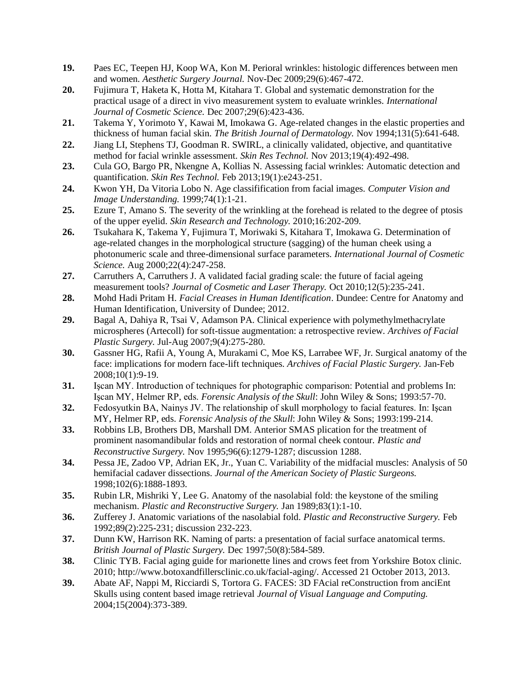- **19.** Paes EC, Teepen HJ, Koop WA, Kon M. Perioral wrinkles: histologic differences between men and women. *Aesthetic Surgery Journal.* Nov-Dec 2009;29(6):467-472.
- **20.** Fujimura T, Haketa K, Hotta M, Kitahara T. Global and systematic demonstration for the practical usage of a direct in vivo measurement system to evaluate wrinkles. *International Journal of Cosmetic Science.* Dec 2007;29(6):423-436.
- **21.** Takema Y, Yorimoto Y, Kawai M, Imokawa G. Age-related changes in the elastic properties and thickness of human facial skin. *The British Journal of Dermatology.* Nov 1994;131(5):641-648.
- **22.** Jiang LI, Stephens TJ, Goodman R. SWIRL, a clinically validated, objective, and quantitative method for facial wrinkle assessment. *Skin Res Technol.* Nov 2013;19(4):492-498.
- **23.** Cula GO, Bargo PR, Nkengne A, Kollias N. Assessing facial wrinkles: Automatic detection and quantification. *Skin Res Technol.* Feb 2013;19(1):e243-251.
- **24.** Kwon YH, Da Vitoria Lobo N. Age classifification from facial images. *Computer Vision and Image Understanding.* 1999;74(1):1-21.
- **25.** Ezure T, Amano S. The severity of the wrinkling at the forehead is related to the degree of ptosis of the upper eyelid. *Skin Research and Technology.* 2010;16:202-209.
- **26.** Tsukahara K, Takema Y, Fujimura T, Moriwaki S, Kitahara T, Imokawa G. Determination of age-related changes in the morphological structure (sagging) of the human cheek using a photonumeric scale and three-dimensional surface parameters. *International Journal of Cosmetic Science.* Aug 2000;22(4):247-258.
- **27.** Carruthers A, Carruthers J. A validated facial grading scale: the future of facial ageing measurement tools? *Journal of Cosmetic and Laser Therapy.* Oct 2010;12(5):235-241.
- **28.** Mohd Hadi Pritam H. *Facial Creases in Human Identification*. Dundee: Centre for Anatomy and Human Identification, University of Dundee; 2012.
- **29.** Bagal A, Dahiya R, Tsai V, Adamson PA. Clinical experience with polymethylmethacrylate microspheres (Artecoll) for soft-tissue augmentation: a retrospective review. *Archives of Facial Plastic Surgery.* Jul-Aug 2007;9(4):275-280.
- **30.** Gassner HG, Rafii A, Young A, Murakami C, Moe KS, Larrabee WF, Jr. Surgical anatomy of the face: implications for modern face-lift techniques. *Archives of Facial Plastic Surgery.* Jan-Feb 2008;10(1):9-19.
- **31.** Işcan MY. Introduction of techniques for photographic comparison: Potential and problems In: Işcan MY, Helmer RP, eds. *Forensic Analysis of the Skull*: John Wiley & Sons; 1993:57-70.
- **32.** Fedosyutkin BA, Nainys JV. The relationship of skull morphology to facial features. In: Işcan MY, Helmer RP, eds. *Forensic Analysis of the Skull*: John Wiley & Sons; 1993:199-214.
- **33.** Robbins LB, Brothers DB, Marshall DM. Anterior SMAS plication for the treatment of prominent nasomandibular folds and restoration of normal cheek contour. *Plastic and Reconstructive Surgery.* Nov 1995;96(6):1279-1287; discussion 1288.
- **34.** Pessa JE, Zadoo VP, Adrian EK, Jr., Yuan C. Variability of the midfacial muscles: Analysis of 50 hemifacial cadaver dissections. *Journal of the American Society of Plastic Surgeons.*  1998;102(6):1888-1893.
- **35.** Rubin LR, Mishriki Y, Lee G. Anatomy of the nasolabial fold: the keystone of the smiling mechanism. *Plastic and Reconstructive Surgery.* Jan 1989;83(1):1-10.
- **36.** Zufferey J. Anatomic variations of the nasolabial fold. *Plastic and Reconstructive Surgery.* Feb 1992;89(2):225-231; discussion 232-223.
- **37.** Dunn KW, Harrison RK. Naming of parts: a presentation of facial surface anatomical terms. *British Journal of Plastic Surgery.* Dec 1997;50(8):584-589.
- **38.** Clinic TYB. Facial aging guide for marionette lines and crows feet from Yorkshire Botox clinic. 2010; http://www.botoxandfillersclinic.co.uk/facial-aging/. Accessed 21 October 2013, 2013.
- **39.** Abate AF, Nappi M, Ricciardi S, Tortora G. FACES: 3D FAcial reConstruction from anciEnt Skulls using content based image retrieval *Journal of Visual Language and Computing.*  2004;15(2004):373-389.